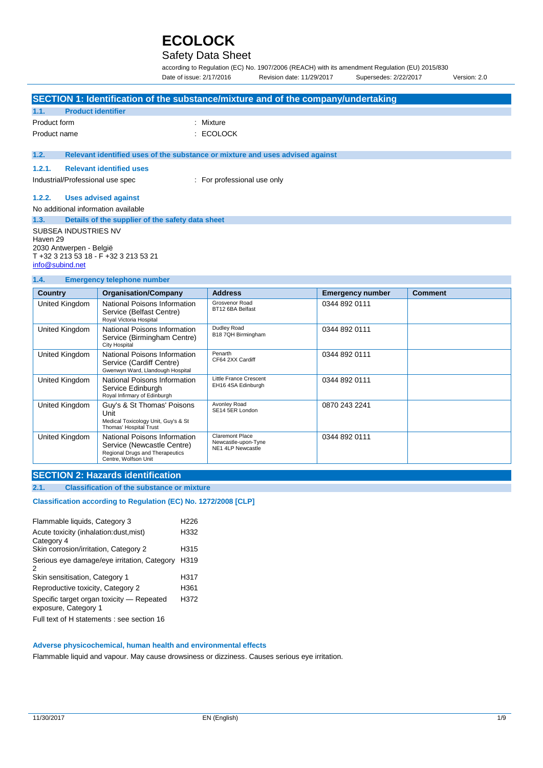## Safety Data Sheet

according to Regulation (EC) No. 1907/2006 (REACH) with its amendment Regulation (EU) 2015/830 Date of issue: 2/17/2016 Revision date: 11/29/2017 Supersedes: 2/22/2017 Version: 2.0

0344 892 0111

| SECTION 1: Identification of the substance/mixture and of the company/undertaking                                              |                                                                                     |                                    |                         |                |  |
|--------------------------------------------------------------------------------------------------------------------------------|-------------------------------------------------------------------------------------|------------------------------------|-------------------------|----------------|--|
| 1.1.                                                                                                                           | <b>Product identifier</b>                                                           |                                    |                         |                |  |
| Product form                                                                                                                   |                                                                                     | : Mixture                          |                         |                |  |
| Product name                                                                                                                   |                                                                                     | : ECOLOCK                          |                         |                |  |
| 1.2.                                                                                                                           | Relevant identified uses of the substance or mixture and uses advised against       |                                    |                         |                |  |
| 1.2.1.                                                                                                                         | <b>Relevant identified uses</b>                                                     |                                    |                         |                |  |
| Industrial/Professional use spec                                                                                               |                                                                                     | : For professional use only        |                         |                |  |
| 1.2.2.                                                                                                                         | <b>Uses advised against</b>                                                         |                                    |                         |                |  |
| No additional information available                                                                                            |                                                                                     |                                    |                         |                |  |
| 1.3.                                                                                                                           | Details of the supplier of the safety data sheet                                    |                                    |                         |                |  |
| <b>SUBSEA INDUSTRIES NV</b><br>Haven 29<br>2030 Antwerpen - België<br>T +32 3 213 53 18 - F +32 3 213 53 21<br>info@subind.net |                                                                                     |                                    |                         |                |  |
| 1.4.<br><b>Emergency telephone number</b>                                                                                      |                                                                                     |                                    |                         |                |  |
| <b>Country</b>                                                                                                                 | <b>Organisation/Company</b>                                                         | <b>Address</b>                     | <b>Emergency number</b> | <b>Comment</b> |  |
| United Kingdom                                                                                                                 | National Poisons Information<br>Service (Belfast Centre)<br>Royal Victoria Hospital | Grosvenor Road<br>BT12 6BA Belfast | 0344 892 0111           |                |  |
| United Kingdom                                                                                                                 | National Poisons Information<br>Service (Birmingham Centre)<br><b>City Hospital</b> | Dudley Road<br>B18 7QH Birmingham  | 0344 892 0111           |                |  |

|                | Service (Cardiff Centre)<br>Gwenwyn Ward, Llandough Hospital                                                          | CF64 2XX Cardiff                                            |               |  |
|----------------|-----------------------------------------------------------------------------------------------------------------------|-------------------------------------------------------------|---------------|--|
| United Kingdom | National Poisons Information<br>Service Edinburgh<br>Royal Infirmary of Edinburgh                                     | Little France Crescent<br>EH16 4SA Edinburgh                | 0344 892 0111 |  |
| United Kingdom | Guy's & St Thomas' Poisons<br>Unit<br>Medical Toxicology Unit, Guy's & St<br>Thomas' Hospital Trust                   | Avonley Road<br>SE14 5ER London                             | 0870 243 2241 |  |
| United Kingdom | National Poisons Information<br>Service (Newcastle Centre)<br>Regional Drugs and Therapeutics<br>Centre. Wolfson Unit | Claremont Place<br>Newcastle-upon-Tyne<br>NE1 4LP Newcastle | 0344 892 0111 |  |
|                |                                                                                                                       |                                                             |               |  |

Penarth CF64 2XX Cardiff

### **SECTION 2: Hazards identification**

**2.1. Classification of the substance or mixture**

United Kingdom National Poisons Information

#### **Classification according to Regulation (EC) No. 1272/2008 [CLP]**

| Flammable liquids, Category 3                                     | H <sub>226</sub> |
|-------------------------------------------------------------------|------------------|
| Acute toxicity (inhalation: dust, mist)<br>Category 4             | H332             |
| Skin corrosion/irritation, Category 2                             | H315             |
| Serious eye damage/eye irritation, Category<br>2                  | H319             |
| Skin sensitisation, Category 1                                    | H317             |
| Reproductive toxicity, Category 2                                 | H361             |
| Specific target organ toxicity - Repeated<br>exposure, Category 1 | H372             |
| Full text of H statements : see section 16                        |                  |

#### **Adverse physicochemical, human health and environmental effects**

Flammable liquid and vapour. May cause drowsiness or dizziness. Causes serious eye irritation.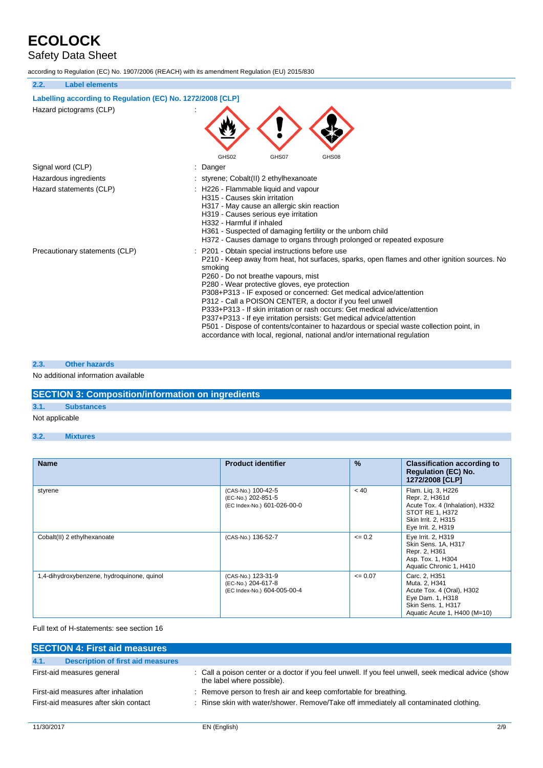# Safety Data Sheet

according to Regulation (EC) No. 1907/2006 (REACH) with its amendment Regulation (EU) 2015/830

| 2.2.<br><b>Label elements</b>                              |                                                                                                                                                                                                                                                                                                                                                                                                                                                                                                                                                                                                                                                                                                                  |  |  |
|------------------------------------------------------------|------------------------------------------------------------------------------------------------------------------------------------------------------------------------------------------------------------------------------------------------------------------------------------------------------------------------------------------------------------------------------------------------------------------------------------------------------------------------------------------------------------------------------------------------------------------------------------------------------------------------------------------------------------------------------------------------------------------|--|--|
| Labelling according to Regulation (EC) No. 1272/2008 [CLP] |                                                                                                                                                                                                                                                                                                                                                                                                                                                                                                                                                                                                                                                                                                                  |  |  |
| Hazard pictograms (CLP)                                    |                                                                                                                                                                                                                                                                                                                                                                                                                                                                                                                                                                                                                                                                                                                  |  |  |
|                                                            | GHS02<br>GHS07<br>GHS08                                                                                                                                                                                                                                                                                                                                                                                                                                                                                                                                                                                                                                                                                          |  |  |
| Signal word (CLP)                                          | Danger                                                                                                                                                                                                                                                                                                                                                                                                                                                                                                                                                                                                                                                                                                           |  |  |
| Hazardous ingredients                                      | styrene: Cobalt(II) 2 ethylhexanoate                                                                                                                                                                                                                                                                                                                                                                                                                                                                                                                                                                                                                                                                             |  |  |
| Hazard statements (CLP)                                    | : H226 - Flammable liquid and vapour<br>H315 - Causes skin irritation<br>H317 - May cause an allergic skin reaction<br>H319 - Causes serious eye irritation<br>H332 - Harmful if inhaled<br>H361 - Suspected of damaging fertility or the unborn child<br>H372 - Causes damage to organs through prolonged or repeated exposure                                                                                                                                                                                                                                                                                                                                                                                  |  |  |
| Precautionary statements (CLP)                             | P201 - Obtain special instructions before use<br>P210 - Keep away from heat, hot surfaces, sparks, open flames and other ignition sources. No<br>smoking<br>P260 - Do not breathe vapours, mist<br>P280 - Wear protective gloves, eye protection<br>P308+P313 - IF exposed or concerned: Get medical advice/attention<br>P312 - Call a POISON CENTER, a doctor if you feel unwell<br>P333+P313 - If skin irritation or rash occurs: Get medical advice/attention<br>P337+P313 - If eye irritation persists: Get medical advice/attention<br>P501 - Dispose of contents/container to hazardous or special waste collection point, in<br>accordance with local, regional, national and/or international regulation |  |  |

#### **2.3. Other hazards**

### No additional information available

## **SECTION 3: Composition/information on ingredients**

### **3.1. Substances**

Not applicable

### **3.2. Mixtures**

| <b>Name</b>                                | <b>Product identifier</b>                                               | $\%$        | <b>Classification according to</b><br><b>Regulation (EC) No.</b><br>1272/2008 [CLP]                                                     |
|--------------------------------------------|-------------------------------------------------------------------------|-------------|-----------------------------------------------------------------------------------------------------------------------------------------|
| styrene                                    | (CAS-No.) 100-42-5<br>(EC-No.) 202-851-5<br>(EC Index-No.) 601-026-00-0 | < 40        | Flam. Liq. 3, H226<br>Repr. 2, H361d<br>Acute Tox. 4 (Inhalation), H332<br>STOT RE 1. H372<br>Skin Irrit. 2, H315<br>Eye Irrit. 2, H319 |
| Cobalt(II) 2 ethylhexanoate                | (CAS-No.) 136-52-7                                                      | $\leq 0.2$  | Eye Irrit. 2, H319<br>Skin Sens. 1A, H317<br>Repr. 2, H361<br>Asp. Tox. 1, H304<br>Aquatic Chronic 1, H410                              |
| 1,4-dihydroxybenzene, hydroquinone, quinol | (CAS-No.) 123-31-9<br>(EC-No.) 204-617-8<br>(EC Index-No.) 604-005-00-4 | $\leq 0.07$ | Carc. 2, H351<br>Muta. 2, H341<br>Acute Tox. 4 (Oral), H302<br>Eye Dam. 1, H318<br>Skin Sens. 1, H317<br>Aquatic Acute 1, H400 (M=10)   |

### Full text of H-statements: see section 16

| <b>SECTION 4: First aid measures</b>             |                                                                                                                                    |  |  |  |
|--------------------------------------------------|------------------------------------------------------------------------------------------------------------------------------------|--|--|--|
| <b>Description of first aid measures</b><br>4.1. |                                                                                                                                    |  |  |  |
| First-aid measures general                       | : Call a poison center or a doctor if you feel unwell. If you feel unwell, seek medical advice (show<br>the label where possible). |  |  |  |
| First-aid measures after inhalation              | : Remove person to fresh air and keep comfortable for breathing.                                                                   |  |  |  |
| First-aid measures after skin contact            | : Rinse skin with water/shower. Remove/Take off immediately all contaminated clothing.                                             |  |  |  |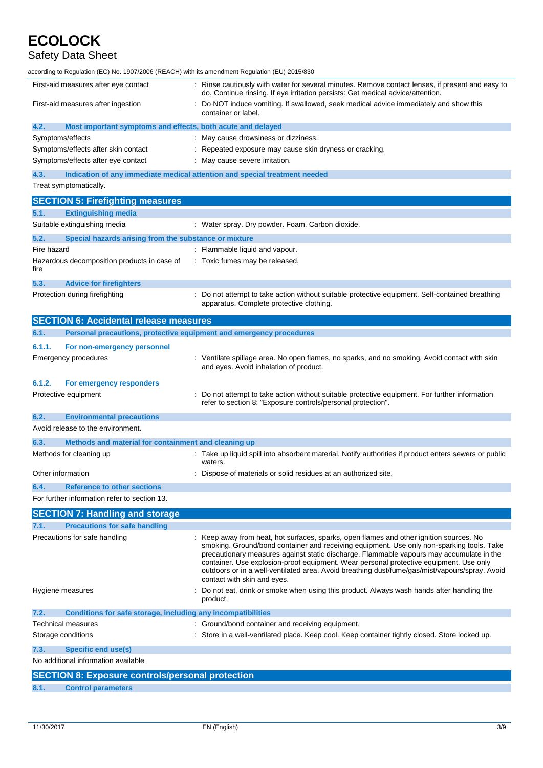# Safety Data Sheet

| according to Regulation (EC) No. 1907/2006 (REACH) with its amendment Regulation (EU) 2015/830 |                                                                                                                                                                                                                                                                                                                                                                                                                                                                                                             |  |  |
|------------------------------------------------------------------------------------------------|-------------------------------------------------------------------------------------------------------------------------------------------------------------------------------------------------------------------------------------------------------------------------------------------------------------------------------------------------------------------------------------------------------------------------------------------------------------------------------------------------------------|--|--|
| First-aid measures after eye contact                                                           | Rinse cautiously with water for several minutes. Remove contact lenses, if present and easy to<br>do. Continue rinsing. If eye irritation persists: Get medical advice/attention.                                                                                                                                                                                                                                                                                                                           |  |  |
| First-aid measures after ingestion                                                             | Do NOT induce vomiting. If swallowed, seek medical advice immediately and show this<br>container or label.                                                                                                                                                                                                                                                                                                                                                                                                  |  |  |
| 4.2.<br>Most important symptoms and effects, both acute and delayed                            |                                                                                                                                                                                                                                                                                                                                                                                                                                                                                                             |  |  |
| Symptoms/effects                                                                               | : May cause drowsiness or dizziness.                                                                                                                                                                                                                                                                                                                                                                                                                                                                        |  |  |
| Symptoms/effects after skin contact                                                            | : Repeated exposure may cause skin dryness or cracking.                                                                                                                                                                                                                                                                                                                                                                                                                                                     |  |  |
| Symptoms/effects after eye contact                                                             | : May cause severe irritation.                                                                                                                                                                                                                                                                                                                                                                                                                                                                              |  |  |
| 4.3.                                                                                           | Indication of any immediate medical attention and special treatment needed                                                                                                                                                                                                                                                                                                                                                                                                                                  |  |  |
| Treat symptomatically.                                                                         |                                                                                                                                                                                                                                                                                                                                                                                                                                                                                                             |  |  |
| <b>SECTION 5: Firefighting measures</b>                                                        |                                                                                                                                                                                                                                                                                                                                                                                                                                                                                                             |  |  |
| 5.1.<br><b>Extinguishing media</b>                                                             |                                                                                                                                                                                                                                                                                                                                                                                                                                                                                                             |  |  |
| Suitable extinguishing media                                                                   | : Water spray. Dry powder. Foam. Carbon dioxide.                                                                                                                                                                                                                                                                                                                                                                                                                                                            |  |  |
| 5.2.<br>Special hazards arising from the substance or mixture                                  |                                                                                                                                                                                                                                                                                                                                                                                                                                                                                                             |  |  |
| Fire hazard                                                                                    | : Flammable liquid and vapour.                                                                                                                                                                                                                                                                                                                                                                                                                                                                              |  |  |
| Hazardous decomposition products in case of                                                    | : Toxic fumes may be released.                                                                                                                                                                                                                                                                                                                                                                                                                                                                              |  |  |
| fire                                                                                           |                                                                                                                                                                                                                                                                                                                                                                                                                                                                                                             |  |  |
| 5.3.<br><b>Advice for firefighters</b>                                                         |                                                                                                                                                                                                                                                                                                                                                                                                                                                                                                             |  |  |
| Protection during firefighting                                                                 | : Do not attempt to take action without suitable protective equipment. Self-contained breathing<br>apparatus. Complete protective clothing.                                                                                                                                                                                                                                                                                                                                                                 |  |  |
| <b>SECTION 6: Accidental release measures</b>                                                  |                                                                                                                                                                                                                                                                                                                                                                                                                                                                                                             |  |  |
| 6.1.                                                                                           | Personal precautions, protective equipment and emergency procedures                                                                                                                                                                                                                                                                                                                                                                                                                                         |  |  |
| 6.1.1.<br>For non-emergency personnel                                                          |                                                                                                                                                                                                                                                                                                                                                                                                                                                                                                             |  |  |
| Emergency procedures                                                                           | : Ventilate spillage area. No open flames, no sparks, and no smoking. Avoid contact with skin                                                                                                                                                                                                                                                                                                                                                                                                               |  |  |
|                                                                                                | and eyes. Avoid inhalation of product.                                                                                                                                                                                                                                                                                                                                                                                                                                                                      |  |  |
| 6.1.2.<br>For emergency responders                                                             |                                                                                                                                                                                                                                                                                                                                                                                                                                                                                                             |  |  |
| Protective equipment                                                                           | Do not attempt to take action without suitable protective equipment. For further information<br>refer to section 8: "Exposure controls/personal protection".                                                                                                                                                                                                                                                                                                                                                |  |  |
| 6.2.<br><b>Environmental precautions</b>                                                       |                                                                                                                                                                                                                                                                                                                                                                                                                                                                                                             |  |  |
| Avoid release to the environment.                                                              |                                                                                                                                                                                                                                                                                                                                                                                                                                                                                                             |  |  |
| 6.3.<br>Methods and material for containment and cleaning up                                   |                                                                                                                                                                                                                                                                                                                                                                                                                                                                                                             |  |  |
| Methods for cleaning up                                                                        | : Take up liquid spill into absorbent material. Notify authorities if product enters sewers or public<br>waters.                                                                                                                                                                                                                                                                                                                                                                                            |  |  |
| Other information                                                                              | Dispose of materials or solid residues at an authorized site.                                                                                                                                                                                                                                                                                                                                                                                                                                               |  |  |
|                                                                                                |                                                                                                                                                                                                                                                                                                                                                                                                                                                                                                             |  |  |
| 6.4.<br><b>Reference to other sections</b><br>For further information refer to section 13.     |                                                                                                                                                                                                                                                                                                                                                                                                                                                                                                             |  |  |
|                                                                                                |                                                                                                                                                                                                                                                                                                                                                                                                                                                                                                             |  |  |
| <b>SECTION 7: Handling and storage</b>                                                         |                                                                                                                                                                                                                                                                                                                                                                                                                                                                                                             |  |  |
| <b>Precautions for safe handling</b><br>7.1.                                                   |                                                                                                                                                                                                                                                                                                                                                                                                                                                                                                             |  |  |
| Precautions for safe handling                                                                  | : Keep away from heat, hot surfaces, sparks, open flames and other ignition sources. No<br>smoking. Ground/bond container and receiving equipment. Use only non-sparking tools. Take<br>precautionary measures against static discharge. Flammable vapours may accumulate in the<br>container. Use explosion-proof equipment. Wear personal protective equipment. Use only<br>outdoors or in a well-ventilated area. Avoid breathing dust/fume/gas/mist/vapours/spray. Avoid<br>contact with skin and eyes. |  |  |
| Hygiene measures                                                                               | Do not eat, drink or smoke when using this product. Always wash hands after handling the<br>product.                                                                                                                                                                                                                                                                                                                                                                                                        |  |  |
| 7.2.<br>Conditions for safe storage, including any incompatibilities                           |                                                                                                                                                                                                                                                                                                                                                                                                                                                                                                             |  |  |
| Technical measures                                                                             | : Ground/bond container and receiving equipment.                                                                                                                                                                                                                                                                                                                                                                                                                                                            |  |  |
| Storage conditions                                                                             | : Store in a well-ventilated place. Keep cool. Keep container tightly closed. Store locked up.                                                                                                                                                                                                                                                                                                                                                                                                              |  |  |
| <b>Specific end use(s)</b><br>7.3.                                                             |                                                                                                                                                                                                                                                                                                                                                                                                                                                                                                             |  |  |
| No additional information available                                                            |                                                                                                                                                                                                                                                                                                                                                                                                                                                                                                             |  |  |
| <b>SECTION 8: Exposure controls/personal protection</b>                                        |                                                                                                                                                                                                                                                                                                                                                                                                                                                                                                             |  |  |
|                                                                                                |                                                                                                                                                                                                                                                                                                                                                                                                                                                                                                             |  |  |

**8.1. Control parameters**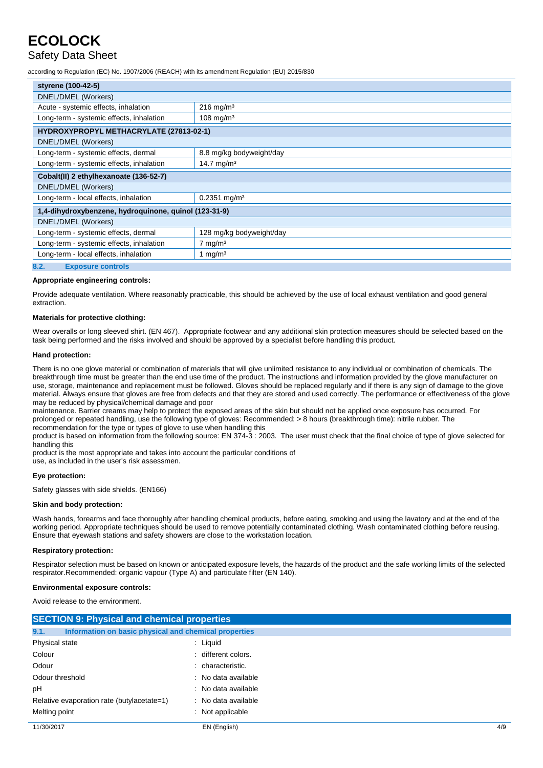## Safety Data Sheet

according to Regulation (EC) No. 1907/2006 (REACH) with its amendment Regulation (EU) 2015/830

| styrene (100-42-5)                                               |                            |  |
|------------------------------------------------------------------|----------------------------|--|
| DNEL/DMEL (Workers)                                              |                            |  |
| Acute - systemic effects, inhalation                             | $216$ mg/m <sup>3</sup>    |  |
| Long-term - systemic effects, inhalation                         | $108$ mg/m <sup>3</sup>    |  |
| HYDROXYPROPYL METHACRYLATE (27813-02-1)                          |                            |  |
| DNEL/DMEL (Workers)                                              |                            |  |
| Long-term - systemic effects, dermal                             | 8.8 mg/kg bodyweight/day   |  |
| Long-term - systemic effects, inhalation                         | 14.7 mg/m <sup>3</sup>     |  |
| Cobalt(II) 2 ethylhexanoate (136-52-7)                           |                            |  |
| DNEL/DMEL (Workers)                                              |                            |  |
| Long-term - local effects, inhalation                            | $0.2351$ mg/m <sup>3</sup> |  |
| 1,4-dihydroxybenzene, hydroquinone, quinol (123-31-9)            |                            |  |
| DNEL/DMEL (Workers)                                              |                            |  |
| Long-term - systemic effects, dermal<br>128 mg/kg bodyweight/day |                            |  |
| Long-term - systemic effects, inhalation<br>$7 \text{ mg/m}^3$   |                            |  |
| Long-term - local effects, inhalation<br>1 mg/m <sup>3</sup>     |                            |  |
| 8.2.<br><b>Exposure controls</b>                                 |                            |  |

#### **Appropriate engineering controls:**

Provide adequate ventilation. Where reasonably practicable, this should be achieved by the use of local exhaust ventilation and good general extraction.

#### **Materials for protective clothing:**

Wear overalls or long sleeved shirt. (EN 467). Appropriate footwear and any additional skin protection measures should be selected based on the task being performed and the risks involved and should be approved by a specialist before handling this product.

#### **Hand protection:**

There is no one glove material or combination of materials that will give unlimited resistance to any individual or combination of chemicals. The breakthrough time must be greater than the end use time of the product. The instructions and information provided by the glove manufacturer on use, storage, maintenance and replacement must be followed. Gloves should be replaced regularly and if there is any sign of damage to the glove material. Always ensure that gloves are free from defects and that they are stored and used correctly. The performance or effectiveness of the glove may be reduced by physical/chemical damage and poor

maintenance. Barrier creams may help to protect the exposed areas of the skin but should not be applied once exposure has occurred. For prolonged or repeated handling, use the following type of gloves: Recommended: > 8 hours (breakthrough time): nitrile rubber. The recommendation for the type or types of glove to use when handling this

product is based on information from the following source: EN 374-3 : 2003. The user must check that the final choice of type of glove selected for handling this

product is the most appropriate and takes into account the particular conditions of use, as included in the user's risk assessmen.

#### **Eye protection:**

Safety glasses with side shields. (EN166)

#### **Skin and body protection:**

Wash hands, forearms and face thoroughly after handling chemical products, before eating, smoking and using the lavatory and at the end of the working period. Appropriate techniques should be used to remove potentially contaminated clothing. Wash contaminated clothing before reusing. Ensure that eyewash stations and safety showers are close to the workstation location.

#### **Respiratory protection:**

Respirator selection must be based on known or anticipated exposure levels, the hazards of the product and the safe working limits of the selected respirator.Recommended: organic vapour (Type A) and particulate filter (EN 140).

#### **Environmental exposure controls:**

Avoid release to the environment.

| <b>SECTION 9: Physical and chemical properties</b>            |                     |     |
|---------------------------------------------------------------|---------------------|-----|
| 9.1.<br>Information on basic physical and chemical properties |                     |     |
| Physical state                                                | $:$ Liquid          |     |
| Colour                                                        | : different colors. |     |
| Odour                                                         | : characteristic.   |     |
| Odour threshold                                               | : No data available |     |
| рH                                                            | : No data available |     |
| Relative evaporation rate (butylacetate=1)                    | : No data available |     |
| Melting point                                                 | Not applicable      |     |
| 11/30/2017                                                    | EN (English)        | 4/9 |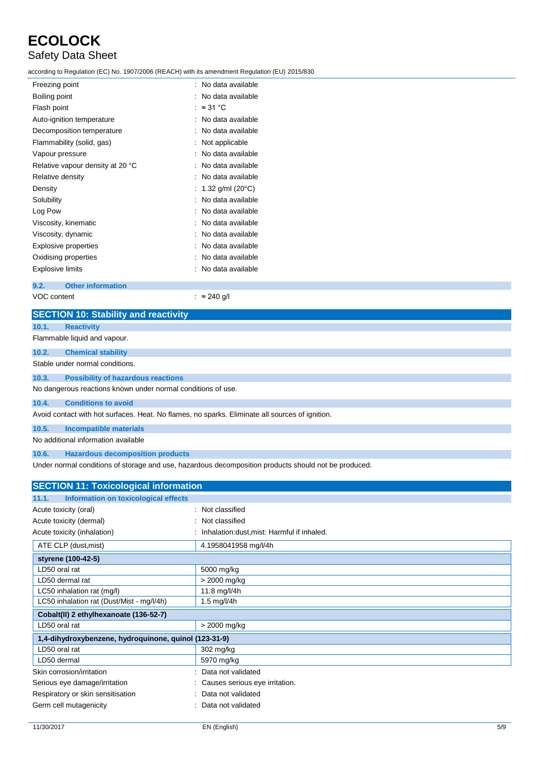# Safety Data Sheet

according to Regulation (EC) No. 1907/2006 (REACH) with its amendment Regulation (EU) 2015/830

| Freezing point                   | : No data available       |
|----------------------------------|---------------------------|
| Boiling point                    | No data available         |
| Flash point                      | $\approx$ 31 °C           |
| Auto-ignition temperature        | No data available         |
| Decomposition temperature        | No data available         |
| Flammability (solid, gas)        | Not applicable            |
| Vapour pressure                  | No data available         |
| Relative vapour density at 20 °C | No data available         |
| Relative density                 | No data available         |
| Density                          | 1.32 g/ml $(20^{\circ}C)$ |
| Solubility                       | No data available         |
| Log Pow                          | No data available         |
| Viscosity, kinematic             | No data available         |
| Viscosity, dynamic               | No data available         |
| <b>Explosive properties</b>      | No data available         |
| Oxidising properties             | No data available         |
| Explosive limits                 | No data available         |
|                                  |                           |

**9.2. Other information**

VOC content : ≈ 240 g/l

|       | <b>SECTION 10: Stability and reactivity</b>                                                     |  |  |
|-------|-------------------------------------------------------------------------------------------------|--|--|
| 10.1. | <b>Reactivity</b>                                                                               |  |  |
|       | Flammable liquid and vapour.                                                                    |  |  |
| 10.2. | <b>Chemical stability</b>                                                                       |  |  |
|       | Stable under normal conditions.                                                                 |  |  |
| 10.3. | <b>Possibility of hazardous reactions</b>                                                       |  |  |
|       | No dangerous reactions known under normal conditions of use.                                    |  |  |
| 10.4. | <b>Conditions to avoid</b>                                                                      |  |  |
|       | Avoid contact with hot surfaces. Heat. No flames, no sparks. Eliminate all sources of ignition. |  |  |
| 10.5. | <b>Incompatible materials</b>                                                                   |  |  |
|       | No additional information available                                                             |  |  |

### **10.6. Hazardous decomposition products**

Under normal conditions of storage and use, hazardous decomposition products should not be produced.

| <b>SECTION 11: Toxicological information</b>          |                                             |  |
|-------------------------------------------------------|---------------------------------------------|--|
| Information on toxicological effects<br>11.1.         |                                             |  |
| Acute toxicity (oral)                                 | : Not classified                            |  |
| Acute toxicity (dermal)                               | Not classified                              |  |
| Acute toxicity (inhalation)                           | Inhalation: dust, mist: Harmful if inhaled. |  |
| ATE CLP (dust, mist)                                  | 4.1958041958 mg/l/4h                        |  |
| styrene (100-42-5)                                    |                                             |  |
| LD50 oral rat                                         | 5000 mg/kg                                  |  |
| LD50 dermal rat                                       | > 2000 mg/kg                                |  |
| LC50 inhalation rat (mg/l)                            | 11.8 mg/l/4h                                |  |
| LC50 inhalation rat (Dust/Mist - mg/l/4h)             | 1.5 mg/l/4h                                 |  |
| Cobalt(II) 2 ethylhexanoate (136-52-7)                |                                             |  |
| LD50 oral rat                                         | > 2000 mg/kg                                |  |
| 1,4-dihydroxybenzene, hydroquinone, quinol (123-31-9) |                                             |  |
| LD50 oral rat                                         | 302 mg/kg                                   |  |
| LD50 dermal                                           | 5970 mg/kg                                  |  |
| Skin corrosion/irritation                             | Data not validated                          |  |
| Serious eye damage/irritation                         | Causes serious eye irritation.              |  |
| Respiratory or skin sensitisation                     | Data not validated                          |  |
| Germ cell mutagenicity                                | Data not validated                          |  |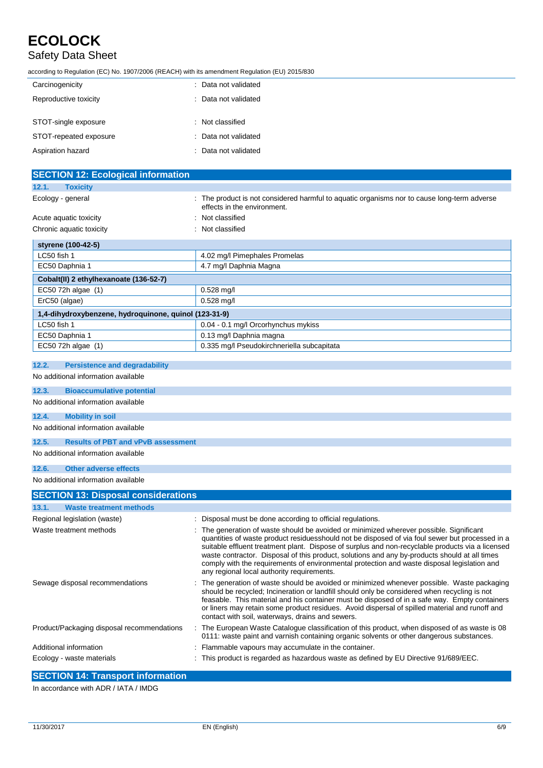## Safety Data Sheet

according to Regulation (EC) No. 1907/2006 (REACH) with its amendment Regulation (EU) 2015/830

| Carcinogenicity        | : Data not validated |
|------------------------|----------------------|
| Reproductive toxicity  | : Data not validated |
| STOT-single exposure   | : Not classified     |
| STOT-repeated exposure | : Data not validated |
| Aspiration hazard      | : Data not validated |

| <b>SECTION 12: Ecological information</b>             |                                                                                                                                                                                                                                                                                                                                                                                                                                                                                                                                            |
|-------------------------------------------------------|--------------------------------------------------------------------------------------------------------------------------------------------------------------------------------------------------------------------------------------------------------------------------------------------------------------------------------------------------------------------------------------------------------------------------------------------------------------------------------------------------------------------------------------------|
| 12.1.<br><b>Toxicity</b>                              |                                                                                                                                                                                                                                                                                                                                                                                                                                                                                                                                            |
| Ecology - general                                     | : The product is not considered harmful to aquatic organisms nor to cause long-term adverse<br>effects in the environment.                                                                                                                                                                                                                                                                                                                                                                                                                 |
| Acute aquatic toxicity                                | Not classified                                                                                                                                                                                                                                                                                                                                                                                                                                                                                                                             |
| Chronic aquatic toxicity                              | Not classified                                                                                                                                                                                                                                                                                                                                                                                                                                                                                                                             |
| styrene (100-42-5)                                    |                                                                                                                                                                                                                                                                                                                                                                                                                                                                                                                                            |
| LC50 fish 1                                           | 4.02 mg/l Pimephales Promelas                                                                                                                                                                                                                                                                                                                                                                                                                                                                                                              |
| EC50 Daphnia 1                                        | 4.7 mg/l Daphnia Magna                                                                                                                                                                                                                                                                                                                                                                                                                                                                                                                     |
| Cobalt(II) 2 ethylhexanoate (136-52-7)                |                                                                                                                                                                                                                                                                                                                                                                                                                                                                                                                                            |
| EC50 72h algae (1)                                    | $0.528$ mg/l                                                                                                                                                                                                                                                                                                                                                                                                                                                                                                                               |
| ErC50 (algae)                                         | $0.528$ mg/l                                                                                                                                                                                                                                                                                                                                                                                                                                                                                                                               |
| 1,4-dihydroxybenzene, hydroquinone, quinol (123-31-9) |                                                                                                                                                                                                                                                                                                                                                                                                                                                                                                                                            |
| LC50 fish 1                                           | 0.04 - 0.1 mg/l Orcorhynchus mykiss                                                                                                                                                                                                                                                                                                                                                                                                                                                                                                        |
| EC50 Daphnia 1                                        | 0.13 mg/l Daphnia magna                                                                                                                                                                                                                                                                                                                                                                                                                                                                                                                    |
| EC50 72h algae (1)                                    | 0.335 mg/l Pseudokirchneriella subcapitata                                                                                                                                                                                                                                                                                                                                                                                                                                                                                                 |
| 12.2.<br><b>Persistence and degradability</b>         |                                                                                                                                                                                                                                                                                                                                                                                                                                                                                                                                            |
| No additional information available                   |                                                                                                                                                                                                                                                                                                                                                                                                                                                                                                                                            |
| 12.3.<br><b>Bioaccumulative potential</b>             |                                                                                                                                                                                                                                                                                                                                                                                                                                                                                                                                            |
| No additional information available                   |                                                                                                                                                                                                                                                                                                                                                                                                                                                                                                                                            |
| 12.4.<br><b>Mobility in soil</b>                      |                                                                                                                                                                                                                                                                                                                                                                                                                                                                                                                                            |
| No additional information available                   |                                                                                                                                                                                                                                                                                                                                                                                                                                                                                                                                            |
| 12.5.<br><b>Results of PBT and vPvB assessment</b>    |                                                                                                                                                                                                                                                                                                                                                                                                                                                                                                                                            |
| No additional information available                   |                                                                                                                                                                                                                                                                                                                                                                                                                                                                                                                                            |
| 12.6.<br><b>Other adverse effects</b>                 |                                                                                                                                                                                                                                                                                                                                                                                                                                                                                                                                            |
| No additional information available                   |                                                                                                                                                                                                                                                                                                                                                                                                                                                                                                                                            |
| <b>SECTION 13: Disposal considerations</b>            |                                                                                                                                                                                                                                                                                                                                                                                                                                                                                                                                            |
| <b>Waste treatment methods</b><br>13.1.               |                                                                                                                                                                                                                                                                                                                                                                                                                                                                                                                                            |
| Regional legislation (waste)                          | : Disposal must be done according to official regulations.                                                                                                                                                                                                                                                                                                                                                                                                                                                                                 |
| Waste treatment methods                               | The generation of waste should be avoided or minimized wherever possible. Significant<br>quantities of waste product residuesshould not be disposed of via foul sewer but processed in a<br>suitable effluent treatment plant. Dispose of surplus and non-recyclable products via a licensed<br>waste contractor. Disposal of this product, solutions and any by-products should at all times<br>comply with the requirements of environmental protection and waste disposal legislation and<br>any regional local authority requirements. |
| Sewage disposal recommendations                       | The generation of waste should be avoided or minimized whenever possible. Waste packaging<br>should be recycled; Incineration or landfill should only be considered when recycling is not<br>feasable. This material and his container must be disposed of in a safe way. Empty containers<br>or liners may retain some product residues. Avoid dispersal of spilled material and runoff and<br>contact with soil, waterways, drains and sewers.                                                                                           |
| Product/Packaging disposal recommendations            | : The European Waste Catalogue classification of this product, when disposed of as waste is 08<br>0111: waste paint and varnish containing organic solvents or other dangerous substances.                                                                                                                                                                                                                                                                                                                                                 |
| Additional information                                | Flammable vapours may accumulate in the container.                                                                                                                                                                                                                                                                                                                                                                                                                                                                                         |
| Ecology - waste materials                             | : This product is regarded as hazardous waste as defined by EU Directive 91/689/EEC.                                                                                                                                                                                                                                                                                                                                                                                                                                                       |

## **SECTION 14: Transport information**

In accordance with ADR / IATA / IMDG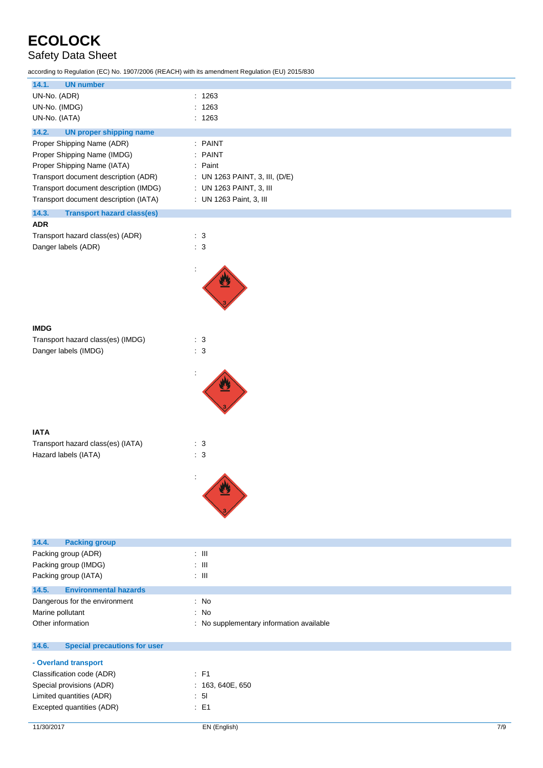## Safety Data Sheet

according to Regulation (EC) No. 1907/2006 (REACH) with its amendment Regulation (EU) 2015/830

| 14.1.<br><b>UN number</b>                    |                                        |
|----------------------------------------------|----------------------------------------|
| UN-No. (ADR)                                 | : 1263                                 |
| UN-No. (IMDG)                                | : 1263                                 |
| UN-No. (IATA)                                | : 1263                                 |
| 14.2.<br><b>UN proper shipping name</b>      |                                        |
| Proper Shipping Name (ADR)                   | : PAINT                                |
| Proper Shipping Name (IMDG)                  | : PAINT                                |
| Proper Shipping Name (IATA)                  | : Paint                                |
| Transport document description (ADR)         | : UN 1263 PAINT, 3, III, (D/E)         |
| Transport document description (IMDG)        | : UN 1263 PAINT, 3, III                |
| Transport document description (IATA)        | : UN 1263 Paint, 3, III                |
| 14.3.<br><b>Transport hazard class(es)</b>   |                                        |
| <b>ADR</b>                                   |                                        |
| Transport hazard class(es) (ADR)             | $\therefore$ 3                         |
| Danger labels (ADR)                          | : 3                                    |
|                                              |                                        |
|                                              |                                        |
|                                              |                                        |
|                                              |                                        |
|                                              |                                        |
|                                              |                                        |
| <b>IMDG</b>                                  |                                        |
| Transport hazard class(es) (IMDG)            | $\therefore$ 3                         |
| Danger labels (IMDG)                         | : 3                                    |
|                                              |                                        |
|                                              |                                        |
|                                              |                                        |
|                                              |                                        |
|                                              |                                        |
|                                              |                                        |
| <b>IATA</b>                                  |                                        |
| Transport hazard class(es) (IATA)            | $\therefore$ 3                         |
| Hazard labels (IATA)                         | : 3                                    |
|                                              |                                        |
|                                              |                                        |
|                                              |                                        |
|                                              |                                        |
|                                              |                                        |
|                                              |                                        |
|                                              |                                        |
| <b>Packing group</b><br>14.4.                | $\pm$ III                              |
| Packing group (ADR)<br>Packing group (IMDG)  | $\pm$ III                              |
| Packing group (IATA)                         | $\pm$ III                              |
|                                              |                                        |
| 14.5.<br><b>Environmental hazards</b>        |                                        |
| Dangerous for the environment                | : No                                   |
| Marine pollutant                             | No<br>÷                                |
| Other information                            | No supplementary information available |
| 14.6.<br><b>Special precautions for user</b> |                                        |
| - Overland transport                         |                                        |
| Classification code (ADR)                    | $\therefore$ F1                        |
| Special provisions (ADR)                     | : 163, 640E, 650                       |
| Limited quantities (ADR)                     | : 51                                   |
| Excepted quantities (ADR)                    | $\therefore$ E1                        |
|                                              |                                        |

11/30/2017 EN (English) 7/9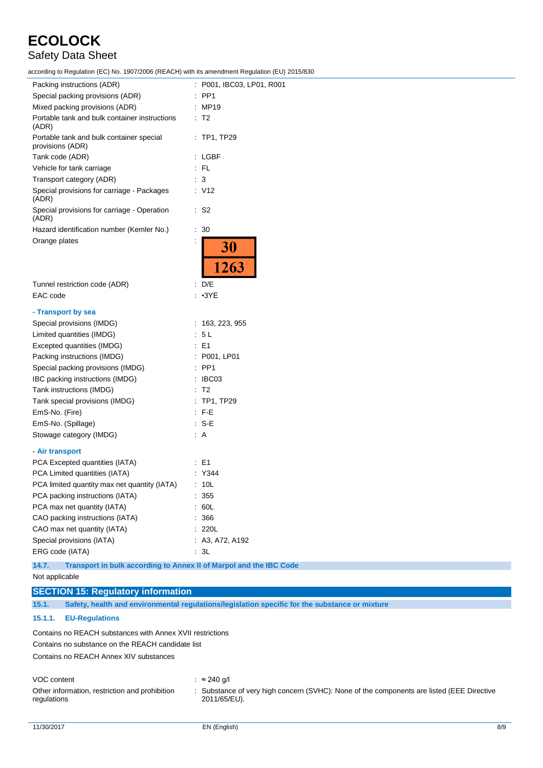# Safety Data Sheet

according to Regulation (EC) No. 1907/2006 (REACH) with its amendment Regulation (EU) 2015/830

| ccording to Regulation (EC) No. 1907/2006 (REACH) with its amendment Regulation (EU) 2015/830 |                           |
|-----------------------------------------------------------------------------------------------|---------------------------|
| Packing instructions (ADR)                                                                    | : P001, IBC03, LP01, R001 |
| Special packing provisions (ADR)                                                              | $:$ PP1                   |
| Mixed packing provisions (ADR)                                                                | : MP19                    |
| Portable tank and bulk container instructions<br>(ADR)                                        | $\therefore$ T2           |
| Portable tank and bulk container special<br>provisions (ADR)                                  | $:$ TP1, TP29             |
| Tank code (ADR)                                                                               | : LGBF                    |
| Vehicle for tank carriage                                                                     | : FL                      |
| Transport category (ADR)                                                                      | $\therefore$ 3            |
| Special provisions for carriage - Packages<br>(ADR)                                           | $\therefore$ V12          |
| Special provisions for carriage - Operation<br>(ADR)                                          | $\therefore$ S2           |
| Hazard identification number (Kemler No.)                                                     | $\therefore$ 30           |
| Orange plates                                                                                 | 30<br>1263                |
| Tunnel restriction code (ADR)                                                                 | : $D/E$                   |
| EAC code                                                                                      | : 3YE                     |
| - Transport by sea                                                                            |                           |
| Special provisions (IMDG)                                                                     | : 163, 223, 955           |
| Limited quantities (IMDG)                                                                     | : 5L                      |
| Excepted quantities (IMDG)                                                                    | $\therefore$ E1           |
| Packing instructions (IMDG)                                                                   | : P001, LP01              |
| Special packing provisions (IMDG)                                                             | $\therefore$ PP1          |
| IBC packing instructions (IMDG)                                                               | : IBC03                   |
| Tank instructions (IMDG)                                                                      | $\therefore$ T2           |
| Tank special provisions (IMDG)                                                                | $:$ TP1, TP29             |
| EmS-No. (Fire)                                                                                | $\therefore$ F-E          |
| EmS-No. (Spillage)                                                                            | : S-E                     |
| Stowage category (IMDG)                                                                       | : A                       |
| - Air transport                                                                               |                           |
| PCA Excepted quantities (IATA)                                                                | $\therefore$ E1           |
| PCA Limited quantities (IATA)                                                                 | : Y344                    |
| PCA limited quantity max net quantity (IATA)                                                  | : 10L                     |
| PCA packing instructions (IATA)                                                               | : 355                     |
| PCA max net quantity (IATA)                                                                   | : 60L                     |
| CAO packing instructions (IATA)                                                               | 366                       |
| CAO max net quantity (IATA)                                                                   | : 220L                    |
| Special provisions (IATA)                                                                     | : A3, A72, A192           |
| ERG code (IATA)                                                                               | $\cdot$ 3L                |
| 14.7.<br>Transport in bulk according to Annex II of Marpol and the IBC Code                   |                           |

```
Not applicable
```
### **SECTION 15: Regulatory information**

**15.1. Safety, health and environmental regulations/legislation specific for the substance or mixture**

### **15.1.1. EU-Regulations**

Contains no REACH substances with Annex XVII restrictions Contains no substance on the REACH candidate list

Contains no REACH Annex XIV substances

#### VOC content : ≈ 240 g/l

Other information, restriction and prohibition regulations

: Substance of very high concern (SVHC): None of the components are listed (EEE Directive 2011/65/EU).